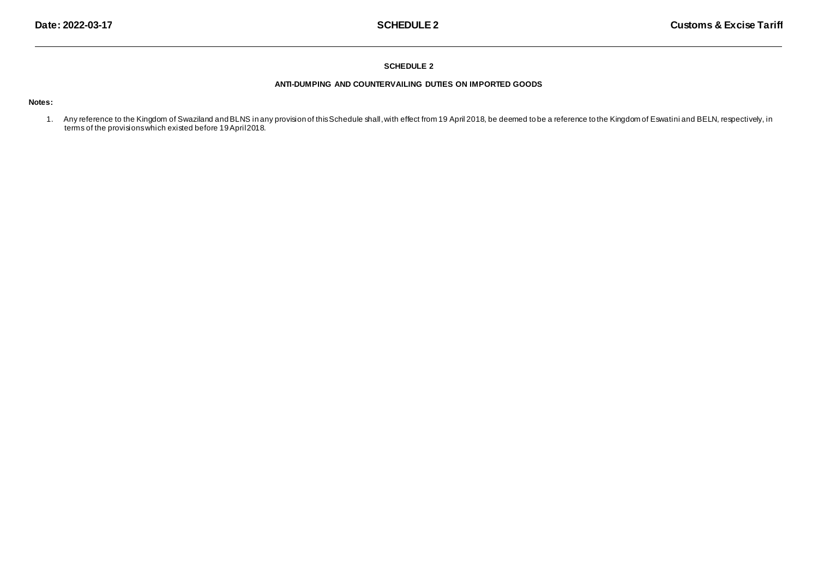### **SCHEDULE 2**

## **ANTI-DUMPING AND COUNTERVAILING DUTIES ON IMPORTED GOODS**

### **Notes:**

1. Any reference to the Kingdom of Swaziland andBLNS in any provision of thisSchedule shall,with effect from 19 April 2018, be deemed to be a reference to the Kingdom of Eswatini and BELN, respectively, in terms of the provisions which existed before 19 April2018.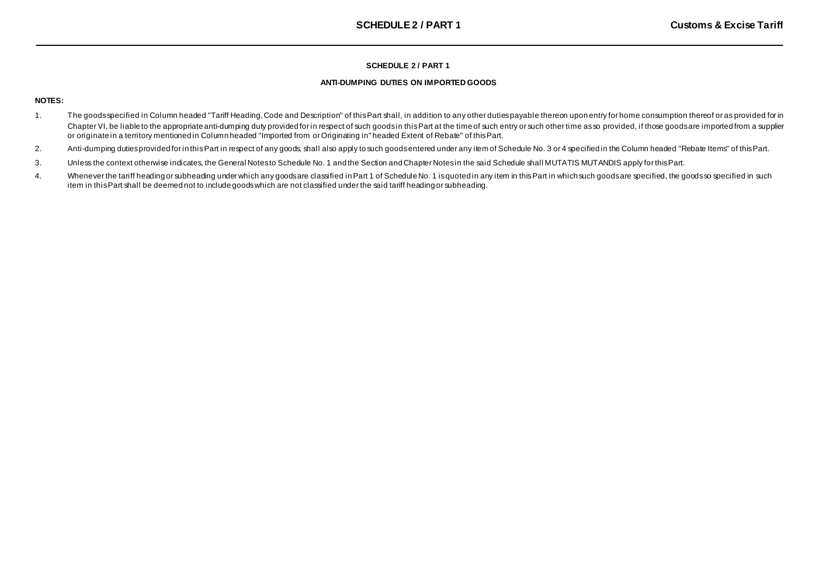## **SCHEDULE 2 / PART 1**

### **ANTI-DUMPING DUTIES ON IMPORTED GOODS**

## **NOTES:**

- 1. The goods specified in Column headed "Tariff Heading, Code and Description" of this Part shall, in addition to any other duties payable thereon upon entry for home consumption thereof or as provided for in Chapter VI, be liable to the appropriate anti-dumping duty provided for in respect of such goods in this Part at the time of such entry or such other time as so provided, if those goods are imported from a supplier or originate in a territory mentioned in Column headed "Imported from or Originating in" headed Extent of Rebate" of thisPart.
- 2. Anti-dumping dutiesprovided for in thisPart in respect of any goods, shall also apply to such goodsentered under any item of Schedule No. 3 or 4 specified in the Column headed "Rebate Items" of thisPart.
- 3. Unless the context otherwise indicates, the General Notesto Schedule No. 1 and the Section andChapter Notesin the said Schedule shall MUTATIS MUTANDIS apply for thisPart.
- 4. Whenever the tariff heading or subheading under which any goods are classified in Part 1 of Schedule No. 1 isquoted in any item in this Part in which such goods are specified, the goods so specified in such item in this Part shall be deemed not to include goods which are not classified under the said tariff heading or subheading.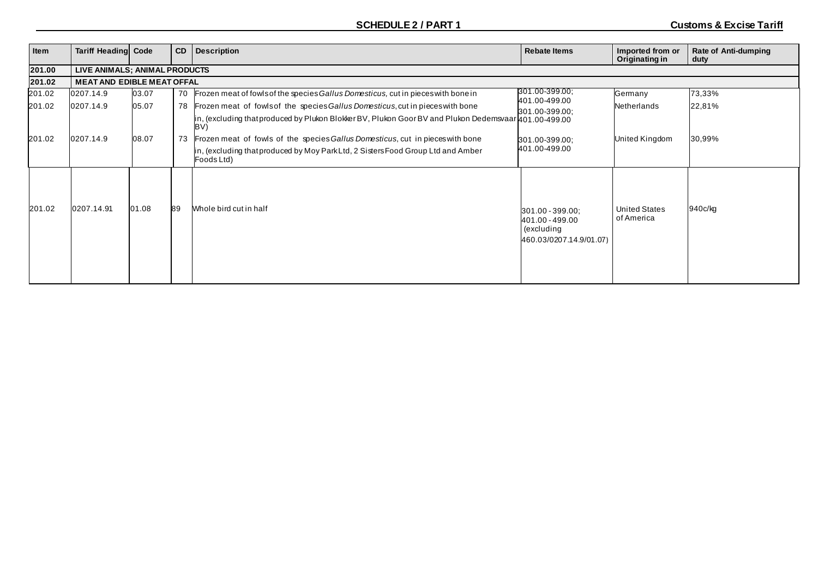| Item   | <b>Tariff Heading Code</b>        |       | <b>CD</b> | <b>Description</b>                                                                                                      | <b>Rebate Items</b>                                                          | Imported from or<br>Originating in | Rate of Anti-dumping<br>duty |  |  |  |  |
|--------|-----------------------------------|-------|-----------|-------------------------------------------------------------------------------------------------------------------------|------------------------------------------------------------------------------|------------------------------------|------------------------------|--|--|--|--|
| 201.00 | LIVE ANIMALS; ANIMAL PRODUCTS     |       |           |                                                                                                                         |                                                                              |                                    |                              |  |  |  |  |
| 201.02 | <b>MEAT AND EDIBLE MEAT OFFAL</b> |       |           |                                                                                                                         |                                                                              |                                    |                              |  |  |  |  |
| 201.02 | 0207.14.9                         | 03.07 | 70        | Frozen meat of fowls of the species Gallus Domesticus, cut in pieces with bone in                                       | 301.00-399.00;                                                               | Germany                            | 73,33%                       |  |  |  |  |
| 201.02 | 0207.14.9                         | 05.07 | 78        | Frozen meat of fowlsof the species Gallus Domesticus, cut in pieces with bone                                           | 401.00-499.00<br>301.00-399.00;                                              | Netherlands                        | 22,81%                       |  |  |  |  |
|        |                                   |       |           | in, (excluding that produced by Plukon Blokker BV, Plukon Goor BV and Plukon Dedemsvaar $\mu$ 01.00-499.00<br><b>BV</b> |                                                                              |                                    |                              |  |  |  |  |
| 201.02 | 0207.14.9                         | 08.07 | 73        | Frozen meat of fowls of the species Gallus Domesticus, cut in pieces with bone                                          | 301.00-399.00;                                                               | United Kingdom                     | 30,99%                       |  |  |  |  |
|        |                                   |       |           | n, (excluding that produced by Moy Park Ltd, 2 Sisters Food Group Ltd and Amber<br>Foods Ltd)                           | 401.00-499.00                                                                |                                    |                              |  |  |  |  |
| 201.02 | 0207.14.91                        | 01.08 | 89        | Whole bird cut in half                                                                                                  | 301.00 - 399.00;<br>401.00 - 499.00<br>(excluding<br>460.03/0207.14.9/01.07) | <b>United States</b><br>of America | 940c/kg                      |  |  |  |  |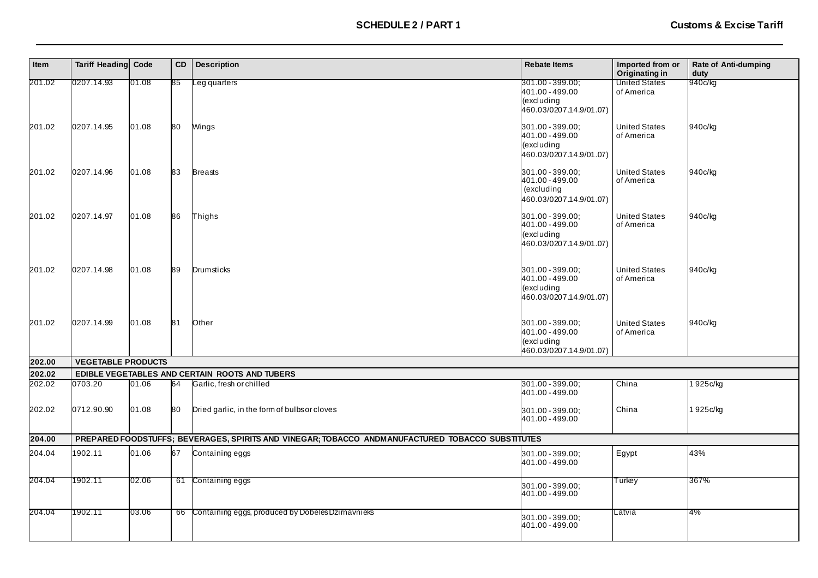| Item   | <b>Tariff Heading</b>     | Code  | CD | <b>Description</b>                                                                               | <b>Rebate Items</b>                                                          | Imported from or<br>Originating in | <b>Rate of Anti-dumping</b><br>duty |
|--------|---------------------------|-------|----|--------------------------------------------------------------------------------------------------|------------------------------------------------------------------------------|------------------------------------|-------------------------------------|
| 201.02 | 0207.14.93                | 01.08 | 85 | eg quarters                                                                                      | 301.00 - 399.00;<br>401.00 - 499.00<br>(excluding<br>460.03/0207.14.9/01.07) | <b>United States</b><br>of America | 940c/kg                             |
| 201.02 | 0207.14.95                | 01.08 | 80 | Wings                                                                                            | 301.00 - 399.00;<br>401.00 - 499.00<br>(excluding<br>460.03/0207.14.9/01.07) | <b>United States</b><br>of America | 940c/kg                             |
| 201.02 | 0207.14.96                | 01.08 | 83 | <b>Breasts</b>                                                                                   | 301.00 - 399.00;<br>401.00 - 499.00<br>(excluding<br>460.03/0207.14.9/01.07) | <b>United States</b><br>of America | 940c/kg                             |
| 201.02 | 0207.14.97                | 01.08 | 86 | Thighs                                                                                           | 301.00 - 399.00;<br>401.00 - 499.00<br>(excluding<br>460.03/0207.14.9/01.07) | <b>United States</b><br>of America | 940c/kg                             |
| 201.02 | 0207.14.98                | 01.08 | 89 | Drumsticks                                                                                       | 301.00 - 399.00;<br>401.00 - 499.00<br>(excluding<br>460.03/0207.14.9/01.07) | <b>United States</b><br>of America | 940c/kg                             |
| 201.02 | 0207.14.99                | 01.08 | 81 | Other                                                                                            | 301.00 - 399.00;<br>401.00 - 499.00<br>(excluding<br>460.03/0207.14.9/01.07) | <b>United States</b><br>of America | 940c/kg                             |
| 202.00 | <b>VEGETABLE PRODUCTS</b> |       |    |                                                                                                  |                                                                              |                                    |                                     |
| 202.02 |                           |       |    | EDIBLE VEGETABLES AND CERTAIN ROOTS AND TUBERS                                                   |                                                                              |                                    |                                     |
| 202.02 | 0703.20                   | 01.06 | 64 | Garlic, fresh or chilled                                                                         | 301.00 - 399.00;<br>401.00 - 499.00                                          | China                              | 925c/kg                             |
| 202.02 | 0712.90.90                | 01.08 | 80 | Dried garlic, in the form of bulbs or cloves                                                     | 301.00 - 399.00;<br>401.00 - 499.00                                          | China                              | 1925c/kg                            |
| 204.00 |                           |       |    | PREPARED FOODSTUFFS; BEVERAGES, SPIRITS AND VINEGAR; TOBACCO ANDMANUFACTURED TOBACCO SUBSTITUTES |                                                                              |                                    |                                     |
| 204.04 | 1902.11                   | 01.06 | 67 | Containing eggs                                                                                  | 301.00 - 399.00;<br>401.00 - 499.00                                          | Egypt                              | 43%                                 |
| 204.04 | 1902.11                   | 02.06 |    | 61 Containing eggs                                                                               | 301.00 - 399.00;<br>401.00 - 499.00                                          | Turkey                             | 367%                                |
| 204.04 | 1902.11                   | 03.06 |    | 66 Containing eggs, produced by Dobeles Dzimavnieks                                              | 301.00 - 399.00;<br>401.00 - 499.00                                          | Latvia                             | 4%                                  |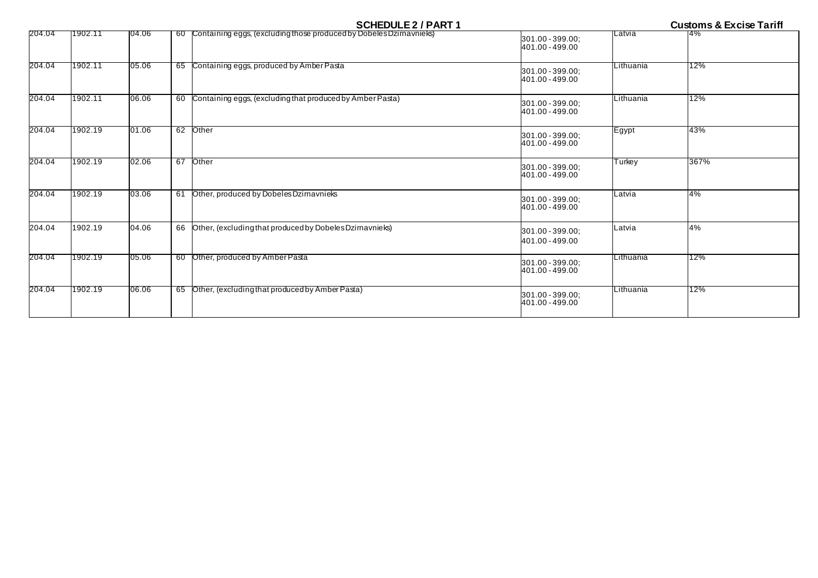| 204.04 | 1902.11 | 04.06 |    | 60 Containing eggs, (excluding those produced by Dobeles Dzirnavnieks) | 301.00 - 399.00;<br>401.00 - 499.00 | Latvia    | <b>4%</b> |
|--------|---------|-------|----|------------------------------------------------------------------------|-------------------------------------|-----------|-----------|
| 204.04 | 1902.11 | 05.06 |    | 65 Containing eggs, produced by Amber Pasta                            | 301.00 - 399.00;<br>401.00 - 499.00 | Lithuania | 12%       |
| 204.04 | 1902.11 | 06.06 |    | 60 Containing eggs, (excluding that produced by Amber Pasta)           | 301.00 - 399.00;<br>401.00 - 499.00 | Lithuania | 12%       |
| 204.04 | 1902.19 | 01.06 |    | 62 Other                                                               | 301.00 - 399.00;<br>401.00 - 499.00 | Egypt     | 43%       |
| 204.04 | 1902.19 | 02.06 |    | 67 Other                                                               | 301.00 - 399.00;<br>401.00 - 499.00 | Turkey    | 367%      |
| 204.04 | 1902.19 | 03.06 | 61 | Other, produced by Dobeles Dzirnavnieks                                | 301.00 - 399.00;<br>401.00 - 499.00 | Latvia    | 4%        |
| 204.04 | 1902.19 | 04.06 |    | 66 Other, (excluding that produced by Dobeles Dzimavnieks)             | 301.00 - 399.00;<br>401.00 - 499.00 | Latvia    | 4%        |
| 204.04 | 1902.19 | 05.06 |    | 60 Other, produced by Amber Pasta                                      | 301.00 - 399.00:<br>401.00 - 499.00 | Lithuania | 12%       |
| 204.04 | 1902.19 | 06.06 |    | 65 Other, (excluding that produced by Amber Pasta)                     | 301.00 - 399.00;<br>401.00 - 499.00 | Lithuania | 12%       |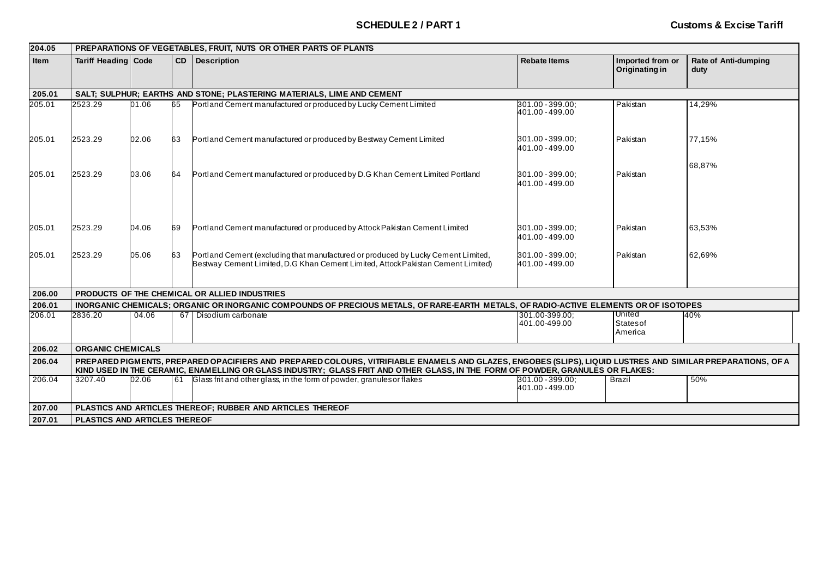| 204.05      |                                                                                                                                                                                                                                                                                               | PREPARATIONS OF VEGETABLES, FRUIT. NUTS OR OTHER PARTS OF PLANTS |           |                                                                                                                                                                       |                                     |                                    |                                     |  |  |  |  |
|-------------|-----------------------------------------------------------------------------------------------------------------------------------------------------------------------------------------------------------------------------------------------------------------------------------------------|------------------------------------------------------------------|-----------|-----------------------------------------------------------------------------------------------------------------------------------------------------------------------|-------------------------------------|------------------------------------|-------------------------------------|--|--|--|--|
| <b>Item</b> | <b>Tariff Heading Code</b>                                                                                                                                                                                                                                                                    |                                                                  |           | <b>CD</b> Description                                                                                                                                                 | <b>Rebate Items</b>                 | Imported from or<br>Originating in | <b>Rate of Anti-dumping</b><br>duty |  |  |  |  |
| 205.01      |                                                                                                                                                                                                                                                                                               |                                                                  |           | SALT; SULPHUR; EARTHS AND STONE; PLASTERING MATERIALS, LIME AND CEMENT                                                                                                |                                     |                                    |                                     |  |  |  |  |
| 205.01      | 2523.29                                                                                                                                                                                                                                                                                       | 01.06                                                            | 65        | Portland Cement manufactured or produced by Lucky Cement Limited                                                                                                      | 301.00 - 399.00;<br>401.00 - 499.00 | Pakistan                           | 14,29%                              |  |  |  |  |
| 205.01      | 2523.29                                                                                                                                                                                                                                                                                       | 02.06                                                            | 63        | Portland Cement manufactured or produced by Bestway Cement Limited                                                                                                    | 301.00 - 399.00;<br>401.00 - 499.00 | Pakistan                           | 77,15%                              |  |  |  |  |
| 205.01      | 2523.29                                                                                                                                                                                                                                                                                       | 03.06                                                            | 64        | Portland Cement manufactured or produced by D.G Khan Cement Limited Portland                                                                                          | 301.00 - 399.00:<br>401.00 - 499.00 | Pakistan                           | 68,87%                              |  |  |  |  |
| 205.01      | 2523.29                                                                                                                                                                                                                                                                                       | 04.06                                                            | 69        | Portland Cement manufactured or produced by Attock Pakistan Cement Limited                                                                                            | 301.00 - 399.00;<br>401.00 - 499.00 | Pakistan                           | 63,53%                              |  |  |  |  |
| 205.01      | 2523.29                                                                                                                                                                                                                                                                                       | 05.06                                                            | 63        | Portland Cement (excluding that manufactured or produced by Lucky Cement Limited,<br>Bestway Cement Limited, D.G Khan Cement Limited, Attock Pakistan Cement Limited) | 301.00 - 399.00:<br>401.00 - 499.00 | Pakistan                           | 62,69%                              |  |  |  |  |
| 206.00      |                                                                                                                                                                                                                                                                                               |                                                                  |           | PRODUCTS OF THE CHEMICAL OR ALLIED INDUSTRIES                                                                                                                         |                                     |                                    |                                     |  |  |  |  |
| 206.01      |                                                                                                                                                                                                                                                                                               |                                                                  |           | INORGANIC CHEMICALS; ORGANIC OR INORGANIC COMPOUNDS OF PRECIOUS METALS, OF RARE-EARTH METALS, OF RADIO-ACTIVE ELEMENTS OR OF ISOTOPES                                 |                                     |                                    |                                     |  |  |  |  |
| 206.01      | 2836.20                                                                                                                                                                                                                                                                                       | 04.06                                                            |           | 67 Disodium carbonate                                                                                                                                                 | 301.00-399.00:<br>401.00-499.00     | United<br>Statesof<br>America      | 40%                                 |  |  |  |  |
| 206.02      | <b>ORGANIC CHEMICALS</b>                                                                                                                                                                                                                                                                      |                                                                  |           |                                                                                                                                                                       |                                     |                                    |                                     |  |  |  |  |
| 206.04      | PREPARED PIGMENTS, PREPARED OPACIFIERS AND PREPARED COLOURS, VITRIFIABLE ENAMELS AND GLAZES, ENGOBES (SLIPS), LIQUID LUSTRES AND SIMILAR PREPARATIONS, OF A<br>KIND USED IN THE CERAMIC, ENAMELLING OR GLASS INDUSTRY; GLASS FRIT AND OTHER GLASS, IN THE FORM OF POWDER, GRANULES OR FLAKES: |                                                                  |           |                                                                                                                                                                       |                                     |                                    |                                     |  |  |  |  |
| 206.04      | 3207.40                                                                                                                                                                                                                                                                                       | 02.06                                                            | <b>61</b> | Glass frit and other glass, in the form of powder, granules or flakes                                                                                                 | 301.00 - 399.00;<br>401.00 - 499.00 | <b>Brazil</b>                      | 50%                                 |  |  |  |  |
| 207.00      |                                                                                                                                                                                                                                                                                               |                                                                  |           | PLASTICS AND ARTICLES THEREOF; RUBBER AND ARTICLES THEREOF                                                                                                            |                                     |                                    |                                     |  |  |  |  |
| 207.01      | <b>PLASTICS AND ARTICLES THEREOF</b>                                                                                                                                                                                                                                                          |                                                                  |           |                                                                                                                                                                       |                                     |                                    |                                     |  |  |  |  |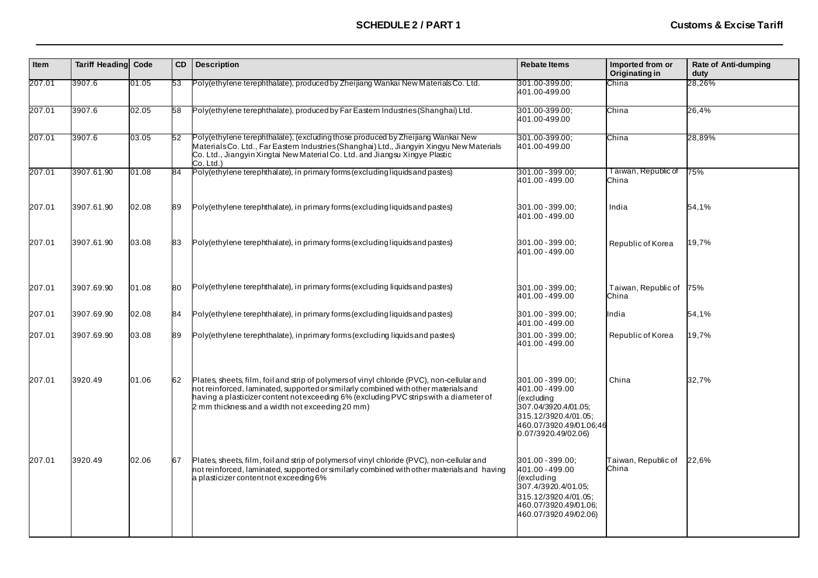| Item   | <b>Tariff Heading Code</b> |       | CD | <b>Description</b>                                                                                                                                                                                                                                                                                                             | <b>Rebate Items</b>                                                                                                                                 | Imported from or<br>Originating in | Rate of Anti-dumping<br>duty |
|--------|----------------------------|-------|----|--------------------------------------------------------------------------------------------------------------------------------------------------------------------------------------------------------------------------------------------------------------------------------------------------------------------------------|-----------------------------------------------------------------------------------------------------------------------------------------------------|------------------------------------|------------------------------|
| 207.01 | 3907.6                     | 01.05 | 53 | Poly(ethylene terephthalate), produced by Zheijiang Wankai New Materials Co. Ltd.                                                                                                                                                                                                                                              | 301.00-399.00:<br>401.00-499.00                                                                                                                     | China                              | 28,26%                       |
| 207.01 | 3907.6                     | 02.05 | 58 | Poly(ethylene terephthalate), produced by Far Eastern Industries (Shanghai) Ltd.                                                                                                                                                                                                                                               | 301.00-399.00:<br>401.00-499.00                                                                                                                     | China                              | 26,4%                        |
| 207.01 | 3907.6                     | 03.05 | 52 | Poly(ethylene terephthalate), (excluding those produced by Zheijiang Wankai New<br>Materials Co. Ltd., Far Eastern Industries (Shanghai) Ltd., Jiangyin Xingyu New Materials<br>Co. Ltd., Jiangyin Xingtai New Material Co. Ltd. and Jiangsu Xingye Plastic<br>Co. Ltd.)                                                       | 301.00-399.00;<br>401.00-499.00                                                                                                                     | China                              | 28,89%                       |
| 207.01 | 3907.61.90                 | 01.08 | 84 | Poly(ethylene terephthalate), in primary forms (excluding liquids and pastes)                                                                                                                                                                                                                                                  | 301.00 - 399.00;<br>401.00 - 499.00                                                                                                                 | Taiwan, Republic of<br>China       | 75%                          |
| 207.01 | 3907.61.90                 | 02.08 | 89 | Poly(ethylene terephthalate), in primary forms (excluding liquids and pastes)                                                                                                                                                                                                                                                  | 301.00 - 399.00:<br>401.00 - 499.00                                                                                                                 | India                              | 54,1%                        |
| 207.01 | 3907.61.90                 | 03.08 | 83 | Poly(ethylene terephthalate), in primary forms (excluding liquids and pastes)                                                                                                                                                                                                                                                  | 301.00 - 399.00:<br>401.00 - 499.00                                                                                                                 | Republic of Korea                  | 19,7%                        |
| 207.01 | 3907.69.90                 | 01.08 | 80 | Poly(ethylene terephthalate), in primary forms (excluding liquids and pastes)                                                                                                                                                                                                                                                  | 301.00 - 399.00:<br>401.00 - 499.00                                                                                                                 | Taiwan, Republic of<br>China       | 75%                          |
| 207.01 | 3907.69.90                 | 02.08 | 84 | Poly(ethylene terephthalate), in primary forms (excluding liquids and pastes)                                                                                                                                                                                                                                                  | 301.00 - 399.00:<br>401.00 - 499.00                                                                                                                 | ndia                               | 54,1%                        |
| 207.01 | 3907.69.90                 | 03.08 | 89 | Poly(ethylene terephthalate), in primary forms (excluding liquids and pastes)                                                                                                                                                                                                                                                  | 301.00 - 399.00;<br>401.00 - 499.00                                                                                                                 | Republic of Korea                  | 19,7%                        |
| 207.01 | 3920.49                    | 01.06 | 62 | Plates, sheets, film, foil and strip of polymers of vinyl chloride (PVC), non-cellular and<br>not reinforced, laminated, supported or similarly combined with other materials and<br>having a plasticizer content not exceeding 6% (excluding PVC strips with a diameter of<br>2 mm thickness and a width not exceeding 20 mm) | 301.00 - 399.00:<br>401.00 - 499.00<br>(excluding<br>307.04/3920.4/01.05;<br>315.12/3920.4/01.05;<br>460.07/3920.49/01.06:46<br>0.07/3920.49/02.06) | China                              | 32,7%                        |
| 207.01 | 3920.49                    | 02.06 | 67 | Plates, sheets, film, foil and strip of polymers of vinyl chloride (PVC), non-cellular and<br>not reinforced, laminated, supported or similarly combined with other materials and having<br>a plasticizer contentnot exceeding 6%                                                                                              | 301.00 - 399.00;<br>401.00 - 499.00<br>(excluding<br>307.4/3920.4/01.05;<br>315.12/3920.4/01.05;<br>460.07/3920.49/01.06;<br>460.07/3920.49/02.06)  | Taiwan, Republic of<br>China       | 22.6%                        |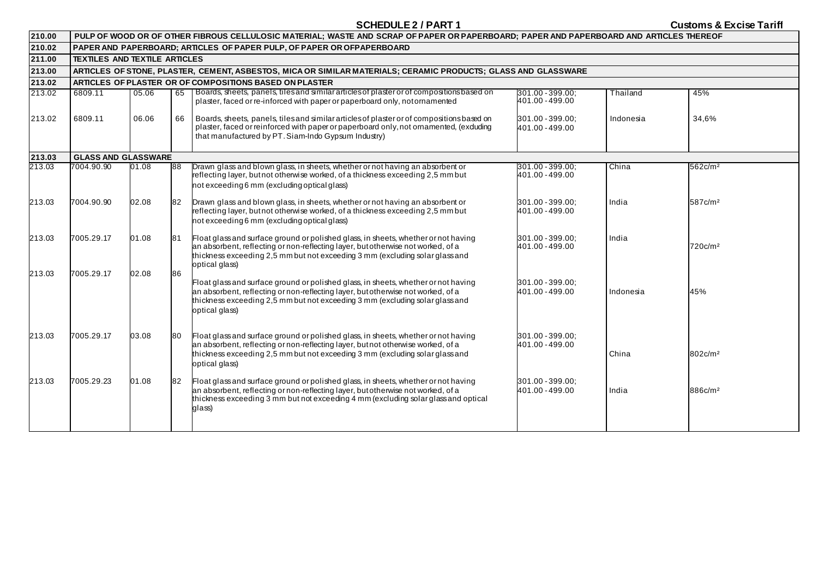| 210.00 | PULP OF WOOD OR OF OTHER FIBROUS CELLULOSIC MATERIAL; WASTE AND SCRAP OF PAPER OR PAPERBOARD; PAPER AND PAPERBOARD AND ARTICLES THEREOF |       |    |                                                                                                                                                                                                                                                                          |                                     |           |                     |  |  |  |  |
|--------|-----------------------------------------------------------------------------------------------------------------------------------------|-------|----|--------------------------------------------------------------------------------------------------------------------------------------------------------------------------------------------------------------------------------------------------------------------------|-------------------------------------|-----------|---------------------|--|--|--|--|
| 210.02 |                                                                                                                                         |       |    | PAPER AND PAPERBOARD; ARTICLES OF PAPER PULP, OF PAPER OR OFPAPERBOARD                                                                                                                                                                                                   |                                     |           |                     |  |  |  |  |
| 211.00 | <b>TEXTILES AND TEXTILE ARTICLES</b>                                                                                                    |       |    |                                                                                                                                                                                                                                                                          |                                     |           |                     |  |  |  |  |
| 213.00 |                                                                                                                                         |       |    | ARTICLES OF STONE, PLASTER, CEMENT, ASBESTOS, MICA OR SIMILAR MATERIALS; CERAMIC PRODUCTS; GLASS AND GLASSWARE                                                                                                                                                           |                                     |           |                     |  |  |  |  |
| 213.02 | ARTICLES OF PLASTER OR OF COMPOSITIONS BASED ON PLASTER                                                                                 |       |    |                                                                                                                                                                                                                                                                          |                                     |           |                     |  |  |  |  |
| 213.02 | 6809.11                                                                                                                                 | 05.06 | 65 | Boards, sheets, panels, tiles and similar articles of plaster or of compositions based on<br>plaster, faced or re-inforced with paper or paperboard only, notomamented                                                                                                   | 301.00 - 399.00;<br>401.00 - 499.00 | Thailand  | 45%                 |  |  |  |  |
| 213.02 | 6809.11                                                                                                                                 | 06.06 | 66 | Boards, sheets, panels, tiles and similar articles of plaster or of compositions based on<br>plaster, faced or reinforced with paper or paperboard only, not ornamented, (exduding<br>that manufactured by PT. Siam-Indo Gypsum Industry)                                | 301.00 - 399.00;<br>401.00 - 499.00 | Indonesia | 34,6%               |  |  |  |  |
| 213.03 | <b>GLASS AND GLASSWARE</b>                                                                                                              |       |    |                                                                                                                                                                                                                                                                          |                                     |           |                     |  |  |  |  |
| 213.03 | 7004.90.90                                                                                                                              | 01.08 | 88 | Drawn glass and blown glass, in sheets, whether or not having an absorbent or<br>reflecting layer, butnot otherwise worked, of a thickness exceeding 2,5 mm but<br>not exceeding 6 mm (excluding optical glass)                                                          | 301.00 - 399.00;<br>401.00 - 499.00 | China     | 562c/m <sup>2</sup> |  |  |  |  |
| 213.03 | 7004.90.90                                                                                                                              | 02.08 | 82 | Drawn glass and blown glass, in sheets, whether or not having an absorbent or<br>reflecting layer, butnot otherwise worked, of a thickness exceeding 2,5 mm but<br>not exceeding 6 mm (excluding optical glass)                                                          | 301.00 - 399.00:<br>401.00 - 499.00 | India     | 587c/m <sup>2</sup> |  |  |  |  |
| 213.03 | 7005.29.17                                                                                                                              | 01.08 | 81 | Float glass and surface ground or polished glass, in sheets, whether or not having<br>an absorbent, reflecting or non-reflecting layer, but otherwise not worked, of a<br>thickness exceeding 2,5 mm but not exceeding 3 mm (excluding solar glass and<br>optical glass) | 301.00 - 399.00:<br>401.00 - 499.00 | India     | 720c/m <sup>2</sup> |  |  |  |  |
| 213.03 | 7005.29.17                                                                                                                              | 02.08 | 86 | Float glass and surface ground or polished glass, in sheets, whether or not having<br>an absorbent, reflecting or non-reflecting layer, but otherwise not worked, of a<br>thickness exceeding 2,5 mm but not exceeding 3 mm (excluding solar glass and<br>optical glass) | 301.00 - 399.00;<br>401.00 - 499.00 | Indonesia | 45%                 |  |  |  |  |
| 213.03 | 7005.29.17                                                                                                                              | 03.08 | 80 | Float glass and surface ground or polished glass, in sheets, whether or not having<br>an absorbent, reflecting or non-reflecting layer, but not otherwise worked, of a<br>thickness exceeding 2,5 mm but not exceeding 3 mm (excluding solar glass and<br>optical glass) | 301.00 - 399.00:<br>401.00 - 499.00 | China     | 802c/m <sup>2</sup> |  |  |  |  |
| 213.03 | 7005.29.23                                                                                                                              | 01.08 | 82 | Float glass and surface ground or polished glass, in sheets, whether or not having<br>an absorbent, reflecting or non-reflecting layer, but otherwise not worked, of a<br>thickness exceeding 3 mm but not exceeding 4 mm (excluding solar glass and optical<br>glass)   | 301.00 - 399.00;<br>401.00 - 499.00 | India     | 886c/m <sup>2</sup> |  |  |  |  |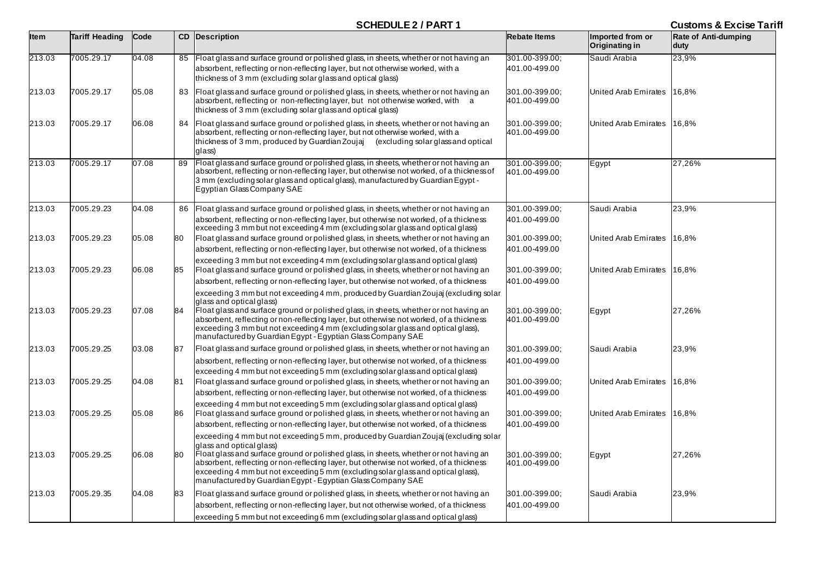| <b>Item</b> | <b>Tariff Heading</b> | Code  |    | <b>CD</b> Description                                                                                                                                                                                                                                                                                                                                                                                                                                  | <b>Rebate Items</b>             | Imported from or<br>Originating in | Rate of Anti-dumping<br>duty |
|-------------|-----------------------|-------|----|--------------------------------------------------------------------------------------------------------------------------------------------------------------------------------------------------------------------------------------------------------------------------------------------------------------------------------------------------------------------------------------------------------------------------------------------------------|---------------------------------|------------------------------------|------------------------------|
| 213.03      | 7005.29.17            | 04.08 |    | 85 Float glass and surface ground or polished glass, in sheets, whether or not having an                                                                                                                                                                                                                                                                                                                                                               | 301.00-399.00.                  | Saudi Arabia                       | 23,9%                        |
|             |                       |       |    | absorbent, reflecting or non-reflecting layer, but not otherwise worked, with a<br>thickness of 3 mm (excluding solar glass and optical glass)                                                                                                                                                                                                                                                                                                         | 401.00-499.00                   |                                    |                              |
| 213.03      | 7005.29.17            | 05.08 | 83 | Float glass and surface ground or polished glass, in sheets, whether or not having an<br>absorbent, reflecting or non-reflecting layer, but not otherwise worked, with a<br>thickness of 3 mm (excluding solar glass and optical glass)                                                                                                                                                                                                                | 301.00-399.00;<br>401.00-499.00 | United Arab Emirates               | 16,8%                        |
| 213.03      | 7005.29.17            | 06.08 | 84 | Float glass and surface ground or polished glass, in sheets, whether or not having an<br>absorbent, reflecting or non-reflecting layer, but not otherwise worked, with a<br>thickness of 3 mm, produced by Guardian Zoujai (excluding solar glass and optical<br>glass)                                                                                                                                                                                | 301.00-399.00:<br>401.00-499.00 | United Arab Emirates               | 16.8%                        |
| 213.03      | 7005.29.17            | 07.08 | 89 | Float glass and surface ground or polished glass, in sheets, whether or not having an<br>absorbent, reflecting or non-reflecting layer, but otherwise not worked, of a thickness of<br>3 mm (excluding solar glass and optical glass), manufactured by Guardian Egypt -<br>Egyptian Glass Company SAE                                                                                                                                                  | 301.00-399.00:<br>401.00-499.00 | Egypt                              | 27,26%                       |
|             |                       |       |    |                                                                                                                                                                                                                                                                                                                                                                                                                                                        |                                 |                                    |                              |
| 213.03      | 7005.29.23            | 04.08 | 86 | Float glass and surface ground or polished glass, in sheets, whether or not having an                                                                                                                                                                                                                                                                                                                                                                  | 301.00-399.00;                  | Saudi Arabia                       | 23,9%                        |
|             |                       |       |    | absorbent, reflecting or non-reflecting layer, but otherwise not worked, of a thickness<br>exceeding 3 mm but not exceeding 4 mm (excluding solar glass and optical glass)                                                                                                                                                                                                                                                                             | 401.00-499.00                   |                                    |                              |
| 213.03      | 7005.29.23            | 05.08 | 80 | Float glass and surface ground or polished glass, in sheets, whether or not having an                                                                                                                                                                                                                                                                                                                                                                  | 301.00-399.00;                  | United Arab Emirates               | 16,8%                        |
|             |                       |       |    | absorbent, reflecting or non-reflecting layer, but otherwise not worked, of a thickness                                                                                                                                                                                                                                                                                                                                                                | 401.00-499.00                   |                                    |                              |
| 213.03      | 7005.29.23            | 06.08 | 85 | exceeding 3 mm but not exceeding 4 mm (excluding solar glass and optical glass)<br>Float glass and surface ground or polished glass, in sheets, whether or not having an                                                                                                                                                                                                                                                                               | 301.00-399.00;                  | United Arab Emirates               | 16,8%                        |
|             |                       |       |    | absorbent, reflecting or non-reflecting layer, but otherwise not worked, of a thickness                                                                                                                                                                                                                                                                                                                                                                | 401.00-499.00                   |                                    |                              |
| 213.03      | 7005.29.23            | 07.08 | 84 | exceeding 3 mm but not exceeding 4 mm, produced by Guardian Zoujaj (excluding solar<br>glass and optical glass)<br>Float glass and surface ground or polished glass, in sheets, whether or not having an<br>absorbent, reflecting or non-reflecting layer, but otherwise not worked, of a thickness<br>exceeding 3 mm but not exceeding 4 mm (excluding solar glass and optical glass),<br>manufactured by Guardian Egypt - Egyptian Glass Company SAE | 301.00-399.00;<br>401.00-499.00 | Egypt                              | 27,26%                       |
| 213.03      | 7005.29.25            | 03.08 | 87 | Float glass and surface ground or polished glass, in sheets, whether or not having an                                                                                                                                                                                                                                                                                                                                                                  | 301.00-399.00;                  | Saudi Arabia                       | 23,9%                        |
|             |                       |       |    | absorbent, reflecting or non-reflecting layer, but otherwise not worked, of a thickness                                                                                                                                                                                                                                                                                                                                                                | 401.00-499.00                   |                                    |                              |
|             |                       |       |    | exceeding 4 mm but not exceeding 5 mm (excluding solar glass and optical glass)                                                                                                                                                                                                                                                                                                                                                                        |                                 |                                    |                              |
| 213.03      | 7005.29.25            | 04.08 | 81 | Float glass and surface ground or polished glass, in sheets, whether or not having an                                                                                                                                                                                                                                                                                                                                                                  | 301.00-399.00;                  | United Arab Emirates               | 16,8%                        |
|             |                       |       |    | absorbent, reflecting or non-reflecting layer, but otherwise not worked, of a thickness                                                                                                                                                                                                                                                                                                                                                                | 401.00-499.00                   |                                    |                              |
|             |                       |       |    | exceeding 4 mm but not exceeding 5 mm (excluding solar glass and optical glass)                                                                                                                                                                                                                                                                                                                                                                        |                                 |                                    |                              |
| 213.03      | 7005.29.25            | 05.08 | 86 | Float glass and surface ground or polished glass, in sheets, whether or not having an                                                                                                                                                                                                                                                                                                                                                                  | 301.00-399.00;                  | United Arab Emirates               | 16,8%                        |
|             |                       |       |    | absorbent, reflecting or non-reflecting layer, but otherwise not worked, of a thickness                                                                                                                                                                                                                                                                                                                                                                | 401.00-499.00                   |                                    |                              |
| 213.03      | 7005.29.25            | 06.08 | 80 | exceeding 4 mm but not exceeding 5 mm, produced by Guardian Zoujaj (excluding solar<br>glass and optical glass)<br>Float glass and surface ground or polished glass, in sheets, whether or not having an<br>absorbent, reflecting or non-reflecting layer, but otherwise not worked, of a thickness<br>exceeding 4 mm but not exceeding 5 mm (excluding solar glass and optical glass),<br>manufactured by Guardian Egypt - Egyptian Glass Company SAE | 301.00-399.00;<br>401.00-499.00 | Egypt                              | 27,26%                       |
| 213.03      | 7005.29.35            | 04.08 | 83 | Float glass and surface ground or polished glass, in sheets, whether or not having an                                                                                                                                                                                                                                                                                                                                                                  | 301.00-399.00;                  | Saudi Arabia                       | 23,9%                        |
|             |                       |       |    | absorbent, reflecting or non-reflecting layer, but not otherwise worked, of a thickness                                                                                                                                                                                                                                                                                                                                                                | 401.00-499.00                   |                                    |                              |
|             |                       |       |    | exceeding 5 mm but not exceeding 6 mm (excluding solar glass and optical glass)                                                                                                                                                                                                                                                                                                                                                                        |                                 |                                    |                              |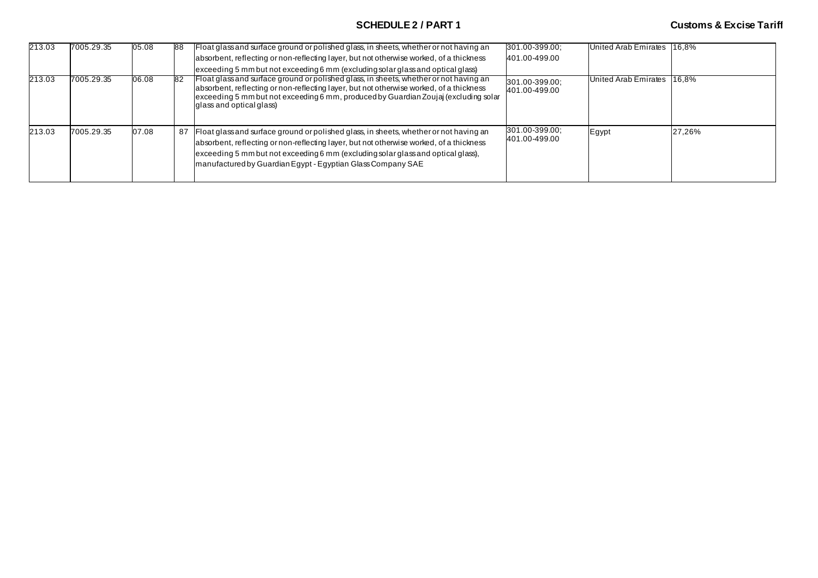| 213.03 | 7005.29.35 | 05.08 | 88  | Float glass and surface ground or polished glass, in sheets, whether or not having an<br>absorbent, reflecting or non-reflecting layer, but not otherwise worked, of a thickness<br>exceeding 5 mm but not exceeding 6 mm (excluding solar glass and optical glass)                                                                 | 301.00-399.00;<br>401.00-499.00 | United Arab Emirates 16.8% |        |
|--------|------------|-------|-----|-------------------------------------------------------------------------------------------------------------------------------------------------------------------------------------------------------------------------------------------------------------------------------------------------------------------------------------|---------------------------------|----------------------------|--------|
| 213.03 | 7005.29.35 | 06.08 | 82  | Float glass and surface ground or polished glass, in sheets, whether or not having an<br>absorbent, reflecting or non-reflecting layer, but not otherwise worked, of a thickness<br>exceeding 5 mm but not exceeding 6 mm, produced by Guardian Zoujaj (excluding solar<br>glass and optical glass)                                 | 301.00-399.00;<br>401.00-499.00 | United Arab Emirates       | 16.8%  |
| 213.03 | 7005.29.35 | 07.08 | -87 | Float glass and surface ground or polished glass, in sheets, whether or not having an<br>absorbent, reflecting or non-reflecting layer, but not otherwise worked, of a thickness<br>exceeding 5 mm but not exceeding 6 mm (excluding solar glass and optical glass),<br>manufactured by Guardian Egypt - Egyptian Glass Company SAE | 301.00-399.00;<br>401.00-499.00 | Egypt                      | 27,26% |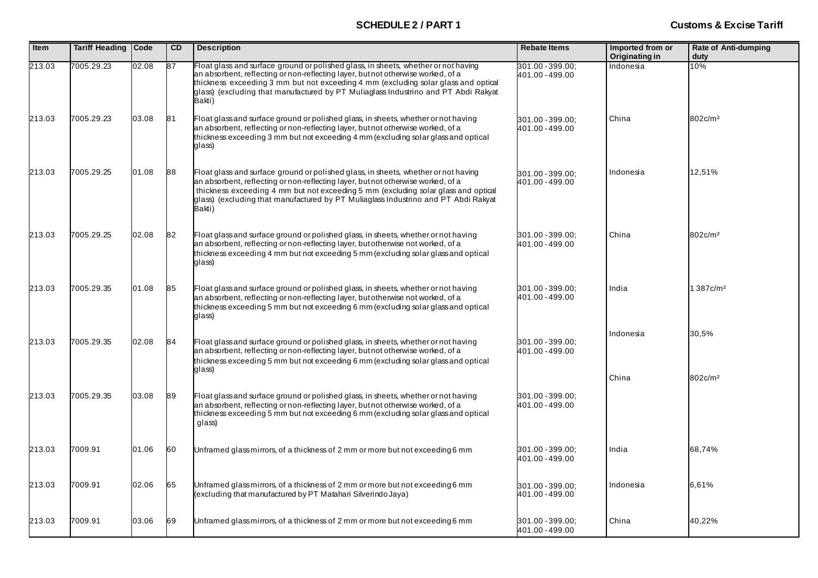| Item   | Tariff Heading | Code  | <b>CD</b> | <b>Description</b>                                                                                                                                                                                                                                                                                                                                           | <b>Rebate Items</b>                 | Imported from or<br>Originating in | Rate of Anti-dumping<br>duty |
|--------|----------------|-------|-----------|--------------------------------------------------------------------------------------------------------------------------------------------------------------------------------------------------------------------------------------------------------------------------------------------------------------------------------------------------------------|-------------------------------------|------------------------------------|------------------------------|
| 213.03 | 7005.29.23     | 02.08 | 87        | Float glass and surface ground or polished glass, in sheets, whether or not having<br>an absorbent, reflecting or non-reflecting layer, but not otherwise worked, of a<br>thickness exceeding 3 mm but not exceeding 4 mm (excluding solar glass and optical<br>glass) (excluding that manufactured by PT Muliaglass Industrino and PT Abdi Rakyat<br>Bakti) | 301.00 - 399.00:<br>401.00 - 499.00 | Indonesia                          | 10%                          |
| 213.03 | 7005.29.23     | 03.08 | 81        | Float glass and surface ground or polished glass, in sheets, whether or not having<br>an absorbent, reflecting or non-reflecting layer, but not otherwise worked, of a<br>thickness exceeding 3 mm but not exceeding 4 mm (excluding solar glass and optical<br>glass)                                                                                       | 301.00 - 399.00;<br>401.00 - 499.00 | China                              | 802c/m <sup>2</sup>          |
| 213.03 | 7005.29.25     | 01.08 | 88        | Float glass and surface ground or polished glass, in sheets, whether or not having<br>an absorbent, reflecting or non-reflecting layer, but not otherwise worked, of a<br>thickness exceeding 4 mm but not exceeding 5 mm (excluding solar glass and optical<br>glass) (excluding that manufactured by PT Muliaglass Industrino and PT Abdi Rakyat<br>Bakti) | 301.00 - 399.00;<br>401.00 - 499.00 | Indonesia                          | 12,51%                       |
| 213.03 | 7005.29.25     | 02.08 | 82        | Float glass and surface ground or polished glass, in sheets, whether or not having<br>an absorbent, reflecting or non-reflecting layer, but otherwise not worked, of a<br>thickness exceeding 4 mm but not exceeding 5 mm (excluding solar glass and optical<br>glass)                                                                                       | 301.00 - 399.00;<br>401.00 - 499.00 | China                              | 802c/m <sup>2</sup>          |
| 213.03 | 7005.29.35     | 01.08 | 85        | Float glass and surface ground or polished glass, in sheets, whether or not having<br>an absorbent, reflecting or non-reflecting layer, but otherwise not worked, of a<br>thickness exceeding 5 mm but not exceeding 6 mm (excluding solar glass and optical<br>glass)                                                                                       | 301.00 - 399.00;<br>401.00 - 499.00 | India                              | 1387c/m <sup>2</sup>         |
| 213.03 | 7005.29.35     | 02.08 | 84        | Float glass and surface ground or polished glass, in sheets, whether or not having<br>an absorbent, reflecting or non-reflecting layer, but not otherwise worked, of a<br>thickness exceeding 5 mm but not exceeding 6 mm (excluding solar glass and optical<br>glass)                                                                                       | 301.00 - 399.00;<br>401.00 - 499.00 | Indonesia                          | 30,5%                        |
| 213.03 | 7005.29.35     | 03.08 | 89        | Float glass and surface ground or polished glass, in sheets, whether or not having<br>an absorbent, reflecting or non-reflecting layer, but not otherwise worked, of a<br>thickness exceeding 5 mm but not exceeding 6 mm (excluding solar glass and optical<br>glass)                                                                                       | 301.00 - 399.00;<br>401.00 - 499.00 | China                              | 802c/m <sup>2</sup>          |
| 213.03 | 7009.91        | 01.06 | 60        | Unframed glass mirrors, of a thickness of 2 mm or more but not exceeding 6 mm                                                                                                                                                                                                                                                                                | 301.00 - 399.00;<br>401.00 - 499.00 | India                              | 68,74%                       |
| 213.03 | 7009.91        | 02.06 | 65        | Unframed glass mirrors, of a thickness of 2 mm or more but not exceeding 6 mm<br>(excluding that manufactured by PT Matahari Silverindo Jaya)                                                                                                                                                                                                                | 301.00 - 399.00;<br>401.00 - 499.00 | Indonesia                          | 6,61%                        |
| 213.03 | 7009.91        | 03.06 | 69        | Unframed glass mirrors, of a thickness of 2 mm or more but not exceeding 6 mm                                                                                                                                                                                                                                                                                | 301.00 - 399.00;<br>401.00 - 499.00 | China                              | 40,22%                       |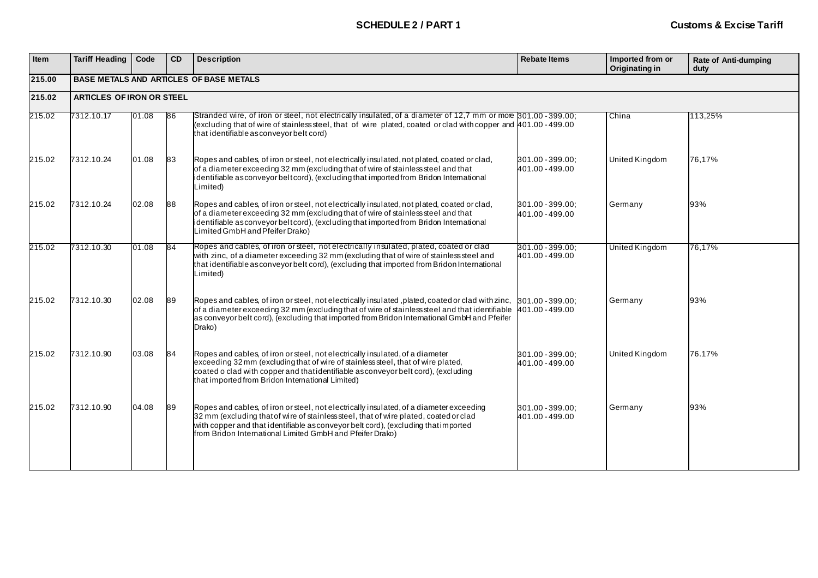| Item   | <b>Tariff Heading</b>            | Code  | <b>CD</b> | <b>Description</b>                                                                                                                                                                                                                                                                                                                  | <b>Rebate Items</b>                 | Imported from or<br>Originating in | <b>Rate of Anti-dumping</b><br>duty |  |  |  |
|--------|----------------------------------|-------|-----------|-------------------------------------------------------------------------------------------------------------------------------------------------------------------------------------------------------------------------------------------------------------------------------------------------------------------------------------|-------------------------------------|------------------------------------|-------------------------------------|--|--|--|
| 215.00 |                                  |       |           | <b>BASE METALS AND ARTICLES OF BASE METALS</b>                                                                                                                                                                                                                                                                                      |                                     |                                    |                                     |  |  |  |
| 215.02 | <b>ARTICLES OF IRON OR STEEL</b> |       |           |                                                                                                                                                                                                                                                                                                                                     |                                     |                                    |                                     |  |  |  |
| 215.02 | 7312.10.17                       | 01.08 | 86        | Stranded wire, of iron or steel, not electrically insulated, of a diameter of 12,7 mm or more 301,00 - 399,00;<br>(excluding that of wire of stainless steel, that of wire plated, coated or clad with copper and 401.00 - 499.00<br>that identifiable as conveyor belt cord)                                                       |                                     | China                              | 113,25%                             |  |  |  |
| 215.02 | 7312.10.24                       | 01.08 | 83        | Ropes and cables, of iron or steel, not electrically insulated, not plated, coated or clad,<br>of a diameter exceeding 32 mm (excluding that of wire of stainless steel and that<br>identifiable asconveyor beltcord), (excluding that imported from Bridon International<br>Limited)                                               | 301.00 - 399.00;<br>401.00 - 499.00 | United Kingdom                     | 76,17%                              |  |  |  |
| 215.02 | 7312.10.24                       | 02.08 | 88        | Ropes and cables, of iron or steel, not electrically insulated, not plated, coated or clad,<br>of a diameter exceeding 32 mm (excluding that of wire of stainless steel and that<br>identifiable as conveyor belt cord), (excluding that imported from Bridon International<br>Limited GmbH and Pfeifer Drako)                      | 301.00 - 399.00;<br>401.00 - 499.00 | Germany                            | 93%                                 |  |  |  |
| 215.02 | 7312.10.30                       | 01.08 | 84        | Ropes and cables, of iron or steel, not electrically insulated, plated, coated or clad<br>with zinc, of a diameter exceeding 32 mm (excluding that of wire of stainless steel and<br>that identifiable as conveyor belt cord), (excluding that imported from Bridon International<br>Limited)                                       | 301.00 - 399.00:<br>401.00 - 499.00 | United Kingdom                     | 76,17%                              |  |  |  |
| 215.02 | 7312.10.30                       | 02.08 | 89        | Ropes and cables, of iron or steel, not electrically insulated, plated, coated or clad with zinc,<br>of a diameter exceeding 32 mm (excluding that of wire of stainless steel and that identifiable<br>as conveyor belt cord), (excluding that imported from Bridon International GmbH and Pfeifer<br>Drako)                        | 301.00 - 399.00:<br>401.00 - 499.00 | Germany                            | 93%                                 |  |  |  |
| 215.02 | 7312.10.90                       | 03.08 | 84        | Ropes and cables, of iron or steel, not electrically insulated, of a diameter<br>exceeding 32 mm (excluding that of wire of stainless steel, that of wire plated,<br>coated o clad with copper and that identifiable as conveyor belt cord), (excluding<br>that imported from Bridon International Limited)                         | 301.00 - 399.00:<br>401.00 - 499.00 | United Kingdom                     | 76.17%                              |  |  |  |
| 215.02 | 7312.10.90                       | 04.08 | 89        | Ropes and cables, of iron or steel, not electrically insulated, of a diameter exceeding<br>32 mm (excluding that of wire of stainless steel, that of wire plated, coated or clad<br>with copper and that identifiable as conveyor belt cord), (excluding that imported<br>from Bridon International Limited GmbH and Pfeifer Drako) | 301.00 - 399.00:<br>401.00 - 499.00 | Germany                            | 93%                                 |  |  |  |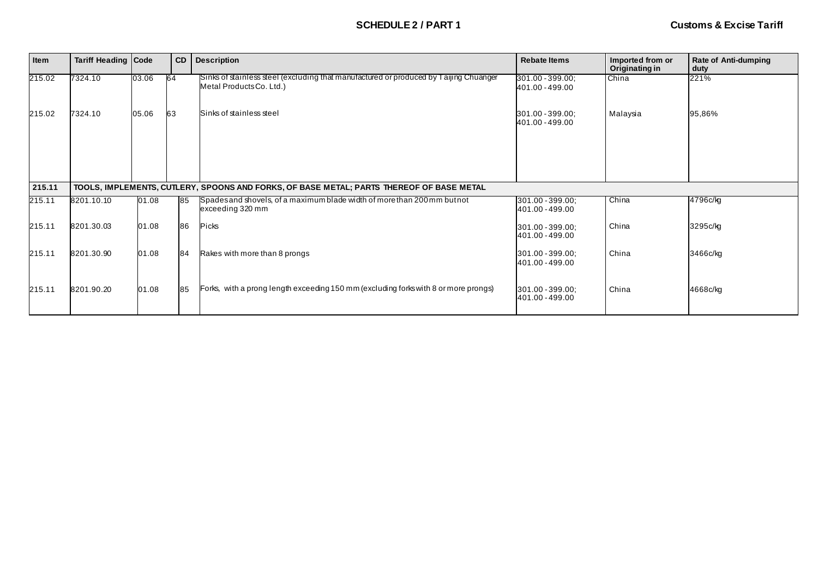| Item   | <b>Tariff Heading Code</b> |       | CD | <b>Description</b>                                                                                                | <b>Rebate Items</b>                 | Imported from or<br>Originating in | <b>Rate of Anti-dumping</b><br>duty |
|--------|----------------------------|-------|----|-------------------------------------------------------------------------------------------------------------------|-------------------------------------|------------------------------------|-------------------------------------|
| 215.02 | 7324.10                    | 03.06 | 64 | Sinks of stainless steel (excluding that manufactured or produced by Taijing Chuanger<br>Metal Products Co. Ltd.) | 301.00 - 399.00;<br>401.00 - 499.00 | China                              | 221%                                |
| 215.02 | 7324.10                    | 05.06 | 63 | Sinks of stainless steel                                                                                          | 301.00 - 399.00;<br>401.00 - 499.00 | Malaysia                           | 95,86%                              |
|        |                            |       |    |                                                                                                                   |                                     |                                    |                                     |
| 215.11 |                            |       |    | TOOLS, IMPLEMENTS, CUTLERY, SPOONS AND FORKS, OF BASE METAL; PARTS THEREOF OF BASE METAL                          |                                     |                                    |                                     |
|        |                            |       |    |                                                                                                                   |                                     |                                    |                                     |
| 215.11 | 8201.10.10                 | 01.08 | 85 | Spades and shovels, of a maximum blade width of more than 200 mm but not<br>exceeding 320 mm                      | 301.00 - 399.00;<br>401.00 - 499.00 | China                              | 4796c/kg                            |
| 215.11 | 8201.30.03                 | 01.08 | 86 | <b>Picks</b>                                                                                                      | 301.00 - 399.00;<br>401.00 - 499.00 | China                              | 3295c/kg                            |
| 215.11 | 8201.30.90                 | 01.08 | 84 | Rakes with more than 8 prongs                                                                                     | 301.00 - 399.00:<br>401.00 - 499.00 | China                              | 3466c/kg                            |
| 215.11 | 8201.90.20                 | 01.08 | 85 | Forks, with a prong length exceeding 150 mm (excluding forks with 8 or more prongs)                               | 301.00 - 399.00;<br>401.00 - 499.00 | China                              | 4668c/kg                            |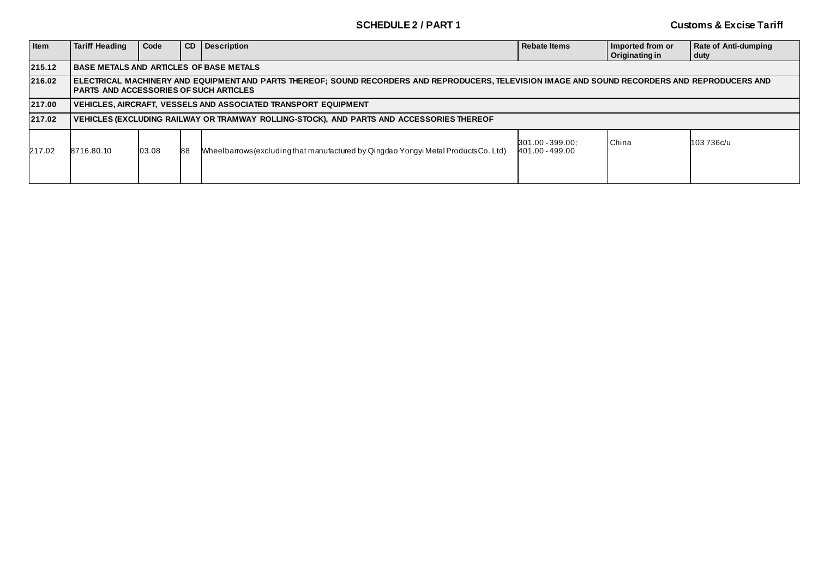| Item   | <b>Tariff Heading</b>                                                                                                                                                          | Code                                                                                                                                                                                            | l CD | <b>Description</b>                                                                       | <b>Rebate Items</b> | Imported from or<br><b>Originating in</b> | Rate of Anti-dumping<br>duty |  |  |  |  |
|--------|--------------------------------------------------------------------------------------------------------------------------------------------------------------------------------|-------------------------------------------------------------------------------------------------------------------------------------------------------------------------------------------------|------|------------------------------------------------------------------------------------------|---------------------|-------------------------------------------|------------------------------|--|--|--|--|
| 215.12 |                                                                                                                                                                                | <b>BASE METALS AND ARTICLES OF BASE METALS</b>                                                                                                                                                  |      |                                                                                          |                     |                                           |                              |  |  |  |  |
| 216.02 |                                                                                                                                                                                | ELECTRICAL MACHINERY AND EQUIPMENTAND PARTS THEREOF; SOUND RECORDERS AND REPRODUCERS, TELEVISION IMAGE AND SOUND RECORDERS AND REPRODUCERS AND<br><b>PARTS AND ACCESSORIES OF SUCH ARTICLES</b> |      |                                                                                          |                     |                                           |                              |  |  |  |  |
| 217.00 |                                                                                                                                                                                |                                                                                                                                                                                                 |      | <b>VEHICLES, AIRCRAFT, VESSELS AND ASSOCIATED TRANSPORT EQUIPMENT</b>                    |                     |                                           |                              |  |  |  |  |
| 217.02 |                                                                                                                                                                                |                                                                                                                                                                                                 |      | VEHICLES (EXCLUDING RAILWAY OR TRAMWAY ROLLING-STOCK), AND PARTS AND ACCESSORIES THEREOF |                     |                                           |                              |  |  |  |  |
| 217.02 | China<br>103 736c/u<br>301.00 - 399.00;<br>03.08<br>Wheelbarrows (excluding that manufactured by Qingdao Yongyi Metal Products Co. Ltd)<br>88<br>8716.80.10<br>401.00 - 499.00 |                                                                                                                                                                                                 |      |                                                                                          |                     |                                           |                              |  |  |  |  |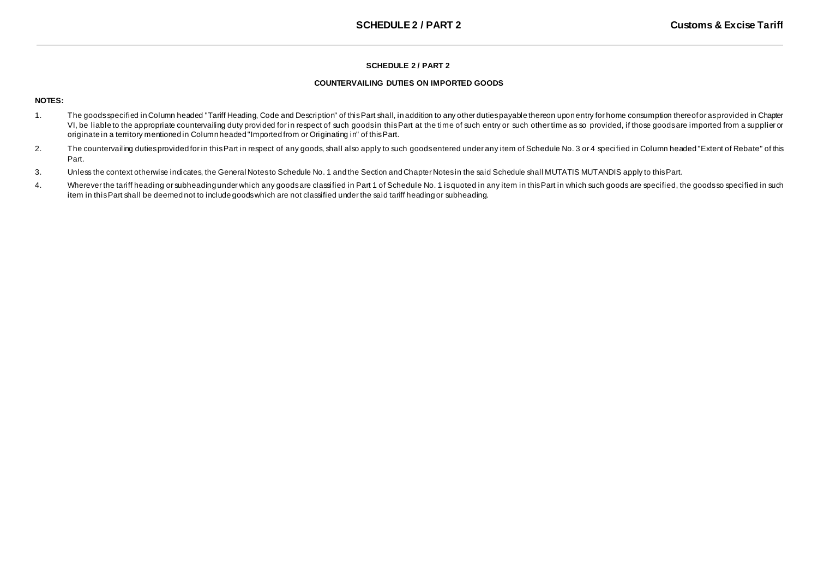## **SCHEDULE 2 / PART 2**

### **COUNTERVAILING DUTIES ON IMPORTED GOODS**

## **NOTES:**

- 1. The goods specified in Column headed "Tariff Heading, Code and Description" of this Part shall, in addition to any other duties payable thereon upon entry for home consumption thereof or as provided in Chapter VI, be liable to the appropriate countervailing duty provided for in respect of such goods in this Part at the time of such entry or such other time as so provided, if those goods are imported from a supplier or originate in a territory mentioned in Column headed "Imported from or Originating in" of this Part.
- 2. The countervailing duties provided for in this Part in respect of any goods, shall also apply to such goodsentered under any item of Schedule No. 3 or 4 specified in Column headed "Extent of Rebate" of this Part.
- 3. Unless the context otherwise indicates, the General Notesto Schedule No. 1 and the Section andChapter Notesin the said Schedule shall MUTATIS MUTANDIS apply to thisPart.
- 4. Wherever the tariff heading or subheading under which any goods are classified in Part 1 of Schedule No. 1 is quoted in any item in this Part in which such goods are specified, the goods so specified in such item in this Part shall be deemed not to include goods which are not classified under the said tariff heading or subheading.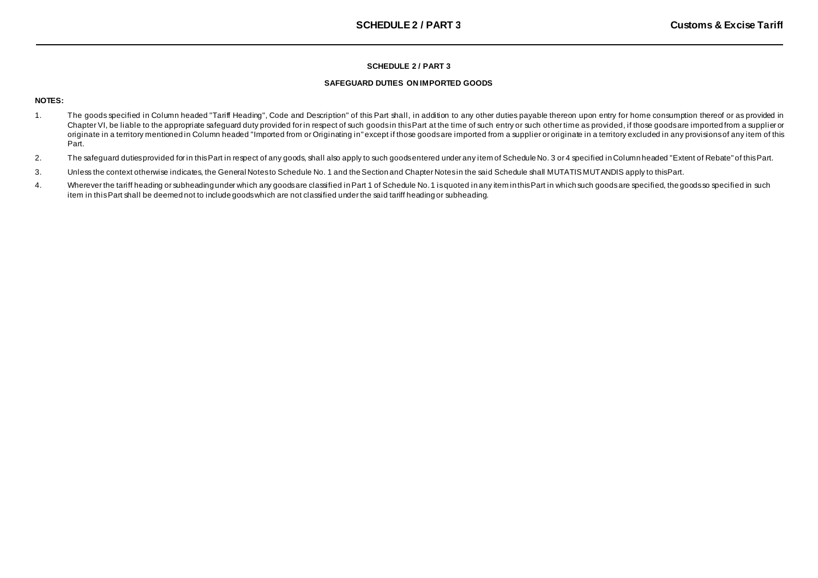### **SCHEDULE 2 / PART 3**

### **SAFEGUARD DUTIES ON IMPORTED GOODS**

## **NOTES:**

- 1. The goods specified in Column headed "Tariff Heading", Code and Description" of this Part shall, in addition to any other duties payable thereon upon entry for home consumption thereof or as provided in Chapter VI, be liable to the appropriate safeguard duty provided for in respect of such goods in this Part at the time of such entry or such other time as provided, if those goods are imported from a supplier or originate in a territory mentioned in Column headed "Imported from or Originating in" except if those goods are imported from a supplier or originate in a territory excluded in any provisions of any item of this Part.
- 2. The safeguard dutiesprovided for in thisPart in respect of any goods, shall also apply to such goodsentered under any item of ScheduleNo. 3 or 4 specified inColumn headed "Extent of Rebate" of thisPart.
- 3. Unless the context otherwise indicates, the General Notesto Schedule No. 1 and theSection and Chapter Notesin the said Schedule shall MUTATISMUTANDIS apply to thisPart.
- 4. Wherever the tariff heading or subheading under which any goods are classified in Part 1 of Schedule No.1 isquoted in any item in this Part in which such goods are specified, the goods so specified in such item in this Part shall be deemed not to include goods which are not classified under the said tariff heading or subheading.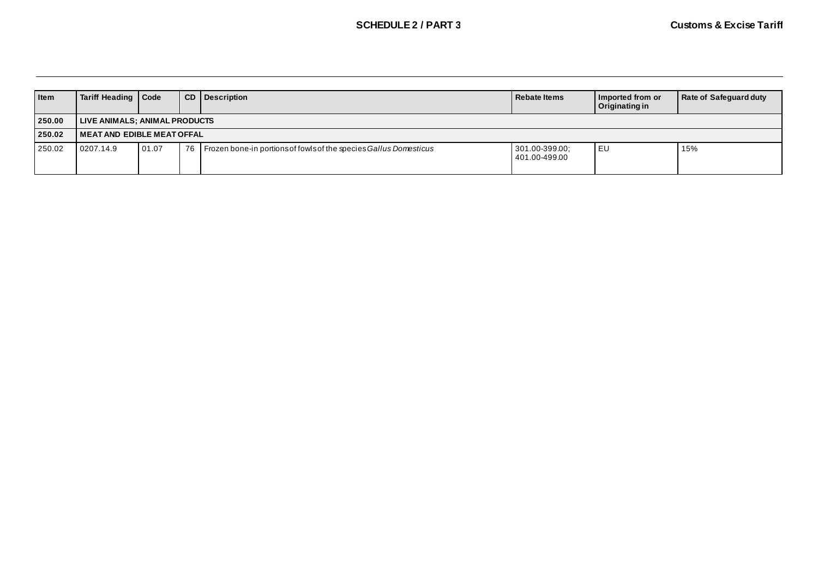| Item   | Tariff Heading   Code                |       |    | <b>CD</b> Description                                             | Rebate Items                    | Imported from or<br>Originating in | Rate of Safeguard duty |  |  |  |
|--------|--------------------------------------|-------|----|-------------------------------------------------------------------|---------------------------------|------------------------------------|------------------------|--|--|--|
| 250.00 | <b>LIVE ANIMALS; ANIMAL PRODUCTS</b> |       |    |                                                                   |                                 |                                    |                        |  |  |  |
| 250.02 | l MEAT AND EDIBLE MEAT OFFAL         |       |    |                                                                   |                                 |                                    |                        |  |  |  |
| 250.02 | 0207.14.9                            | 01.07 | 76 | Frozen bone-in portions of fowls of the species Gallus Domesticus | 301.00-399.00;<br>401.00-499.00 | <b>IEU</b>                         | 15%                    |  |  |  |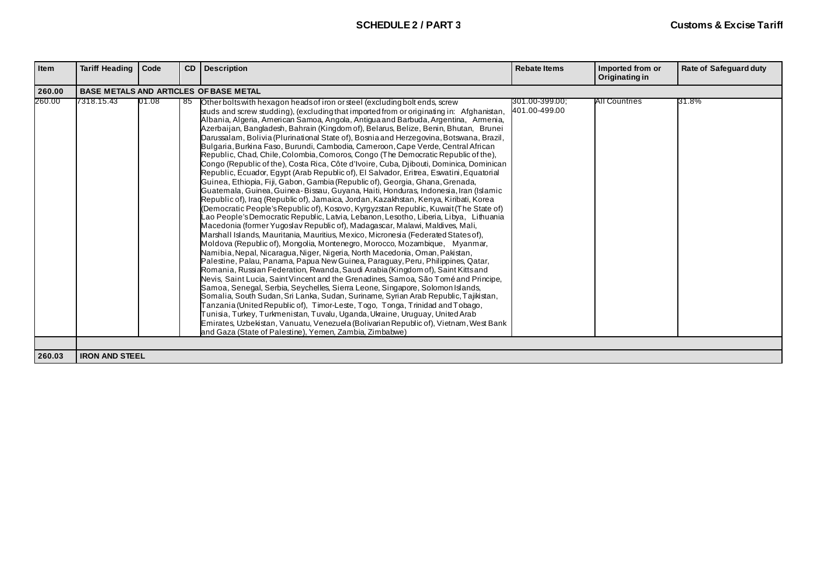| <b>Item</b> | Tariff Heading   Code                         |       |    | <b>CD</b> Description                                                                                                                                                                                                                                                                                                                                                                                                                                                                                                                                                                                                                                                                                                                                                                                                                                                                                                                                                                                                                                                                                                                                                                                                                                                                                                                                                                                                                                                                                                                                                                                                                                                                                                                                                                                                                                                                                                                                                                                                                                                                                                                                                                                                                                                                                                                                           | <b>Rebate Items</b>             | Imported from or<br>Originating in | <b>Rate of Safeguard duty</b> |  |  |
|-------------|-----------------------------------------------|-------|----|-----------------------------------------------------------------------------------------------------------------------------------------------------------------------------------------------------------------------------------------------------------------------------------------------------------------------------------------------------------------------------------------------------------------------------------------------------------------------------------------------------------------------------------------------------------------------------------------------------------------------------------------------------------------------------------------------------------------------------------------------------------------------------------------------------------------------------------------------------------------------------------------------------------------------------------------------------------------------------------------------------------------------------------------------------------------------------------------------------------------------------------------------------------------------------------------------------------------------------------------------------------------------------------------------------------------------------------------------------------------------------------------------------------------------------------------------------------------------------------------------------------------------------------------------------------------------------------------------------------------------------------------------------------------------------------------------------------------------------------------------------------------------------------------------------------------------------------------------------------------------------------------------------------------------------------------------------------------------------------------------------------------------------------------------------------------------------------------------------------------------------------------------------------------------------------------------------------------------------------------------------------------------------------------------------------------------------------------------------------------|---------------------------------|------------------------------------|-------------------------------|--|--|
| 260.00      | <b>BASE METALS AND ARTICLES OF BASE METAL</b> |       |    |                                                                                                                                                                                                                                                                                                                                                                                                                                                                                                                                                                                                                                                                                                                                                                                                                                                                                                                                                                                                                                                                                                                                                                                                                                                                                                                                                                                                                                                                                                                                                                                                                                                                                                                                                                                                                                                                                                                                                                                                                                                                                                                                                                                                                                                                                                                                                                 |                                 |                                    |                               |  |  |
| 260.00      | 7318.15.43                                    | 01.08 | 85 | Other bolts with hexagon heads of iron or steel (excluding bolt ends, screw<br>studs and screw studding), (excluding that imported from or originating in: Afghanistan,<br>Albania, Algeria, American Samoa, Angola, Antigua and Barbuda, Argentina, Armenia,<br>Azerbaijan, Bangladesh, Bahrain (Kingdom of), Belarus, Belize, Benin, Bhutan, Brunei<br>Darussalam, Bolivia (Plurinational State of), Bosnia and Herzegovina, Botswana, Brazil,<br>Bulgaria, Burkina Faso, Burundi, Cambodia, Cameroon, Cape Verde, Central African<br>Republic, Chad, Chile, Colombia, Comoros, Congo (The Democratic Republic of the),<br>Congo (Republic of the), Costa Rica, Côte d'Ivoire, Cuba, Djibouti, Dominica, Dominican<br>Republic, Ecuador, Egypt (Arab Republic of), El Salvador, Eritrea, Eswatini, Equatorial<br>Guinea, Ethiopia, Fiji, Gabon, Gambia (Republic of), Georgia, Ghana, Grenada,<br>Guatemala, Guinea, Guinea-Bissau, Guyana, Haiti, Honduras, Indonesia, Iran (Islamic<br>Republic of), Iraq (Republic of), Jamaica, Jordan, Kazakhstan, Kenya, Kiribati, Korea<br>(Democratic People's Republic of), Kosovo, Kyrgyzstan Republic, Kuwait (The State of)<br>Lao People's Democratic Republic, Latvia, Lebanon, Lesotho, Liberia, Libya, Lithuania<br>Macedonia (former Yugoslav Republic of), Madagascar, Malawi, Maldives, Mali,<br>Marshall Islands, Mauritania, Mauritius, Mexico, Micronesia (Federated States of),<br>Moldova (Republic of), Mongolia, Montenegro, Morocco, Mozambique, Myanmar,<br>Namibia, Nepal, Nicaragua, Niger, Nigeria, North Macedonia, Oman, Pakistan,<br>Palestine, Palau, Panama, Papua New Guinea, Paraguay, Peru, Philippines, Qatar,<br>Romania, Russian Federation, Rwanda, Saudi Arabia (Kingdom of), Saint Kitts and<br>Nevis, Saint Lucia, Saint Vincent and the Grenadines, Samoa, São Tomé and Principe,<br>Samoa, Senegal, Serbia, Seychelles, Sierra Leone, Singapore, Solomon Islands,<br>Somalia, South Sudan, Sri Lanka, Sudan, Suriname, Syrian Arab Republic, Tajikistan,<br>Tanzania (United Republic of), Timor-Leste, Togo, Tonga, Trinidad and Tobago,<br>Tunisia, Turkey, Turkmenistan, Tuvalu, Uganda, Ukraine, Uruguay, United Arab<br>Emirates, Uzbekistan, Vanuatu, Venezuela (Bolivarian Republic of), Vietnam, West Bank<br>and Gaza (State of Palestine), Yemen, Zambia, Zimbabwe) | 301.00-399.00;<br>401.00-499.00 | All Countries                      | <b>B</b> 1.8%                 |  |  |
| 260.03      | <b>IRON AND STEEL</b>                         |       |    |                                                                                                                                                                                                                                                                                                                                                                                                                                                                                                                                                                                                                                                                                                                                                                                                                                                                                                                                                                                                                                                                                                                                                                                                                                                                                                                                                                                                                                                                                                                                                                                                                                                                                                                                                                                                                                                                                                                                                                                                                                                                                                                                                                                                                                                                                                                                                                 |                                 |                                    |                               |  |  |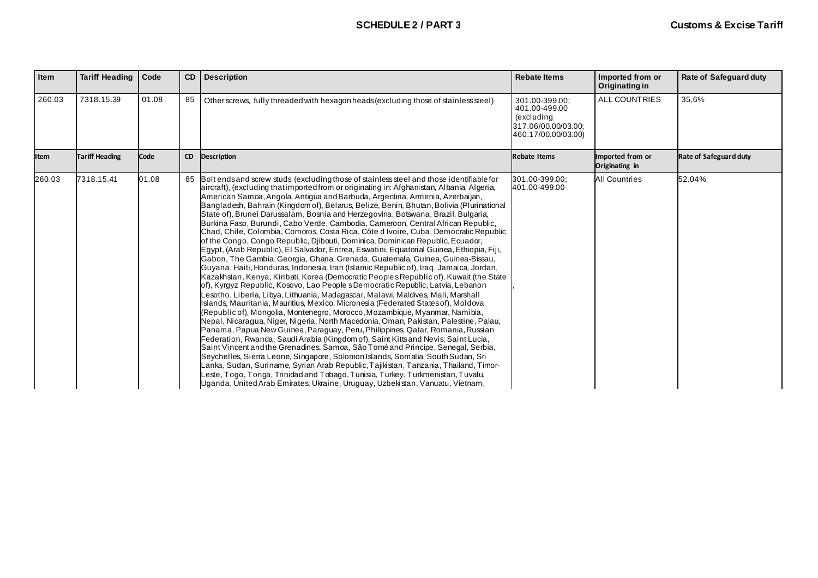| Item        | <b>Tariff Heading</b> | Code  | CD        | <b>Description</b>                                                                                                                                                                                                                                                                                                                                                                                                                                                                                                                                                                                                                                                                                                                                                                                                                                                                                                                                                                                                                                                                                                                                                                                                                                                                                                                                                                                                                                                                                                                                                                                                                                                                                                                                                                                                                                                                                                                                                                                                                                                                                                                   | <b>Rebate Items</b>                                                                         | Imported from or<br>Originating in | Rate of Safeguard duty |
|-------------|-----------------------|-------|-----------|--------------------------------------------------------------------------------------------------------------------------------------------------------------------------------------------------------------------------------------------------------------------------------------------------------------------------------------------------------------------------------------------------------------------------------------------------------------------------------------------------------------------------------------------------------------------------------------------------------------------------------------------------------------------------------------------------------------------------------------------------------------------------------------------------------------------------------------------------------------------------------------------------------------------------------------------------------------------------------------------------------------------------------------------------------------------------------------------------------------------------------------------------------------------------------------------------------------------------------------------------------------------------------------------------------------------------------------------------------------------------------------------------------------------------------------------------------------------------------------------------------------------------------------------------------------------------------------------------------------------------------------------------------------------------------------------------------------------------------------------------------------------------------------------------------------------------------------------------------------------------------------------------------------------------------------------------------------------------------------------------------------------------------------------------------------------------------------------------------------------------------------|---------------------------------------------------------------------------------------------|------------------------------------|------------------------|
| 260.03      | 7318.15.39            | 01.08 | 85        | Other screws, fully threaded with hexagon heads (excluding those of stainless steel)                                                                                                                                                                                                                                                                                                                                                                                                                                                                                                                                                                                                                                                                                                                                                                                                                                                                                                                                                                                                                                                                                                                                                                                                                                                                                                                                                                                                                                                                                                                                                                                                                                                                                                                                                                                                                                                                                                                                                                                                                                                 | 301.00-399.00;<br>401.00-499.00<br>(excluding<br>317.06/00.00/03.00:<br>460.17/00.00/03.00) | <b>ALL COUNTRIES</b>               | 35,6%                  |
| <b>Item</b> | <b>Tariff Heading</b> | Code  | <b>CD</b> | <b>Description</b>                                                                                                                                                                                                                                                                                                                                                                                                                                                                                                                                                                                                                                                                                                                                                                                                                                                                                                                                                                                                                                                                                                                                                                                                                                                                                                                                                                                                                                                                                                                                                                                                                                                                                                                                                                                                                                                                                                                                                                                                                                                                                                                   | <b>Rebate Items</b>                                                                         | Imported from or<br>Originating in | Rate of Safeguard duty |
| 260.03      | 7318.15.41            | 01.08 |           | Bolt ends and screw studs (excluding those of stainless steel and those identifiable for<br>aircraft), (excluding thatimported from or originating in: Afghanistan, Albania, Algeria,<br>American Samoa, Angola, Antigua and Barbuda, Argentina, Armenia, Azerbaijan,<br>Bangladesh, Bahrain (Kingdom of), Belarus, Belize, Benin, Bhutan, Bolivia (Plurinational<br>State of), Brunei Darussalam, Bosnia and Herzegovina, Botswana, Brazil, Bulgaria,<br>Burkina Faso, Burundi, Cabo Verde, Cambodia, Cameroon, Central African Republic,<br>Chad, Chile, Colombia, Comoros, Costa Rica, Côte d Ivoire, Cuba, Democratic Republic<br>of the Congo, Congo Republic, Djibouti, Dominica, Dominican Republic, Ecuador,<br>Egypt, (Arab Republic), El Salvador, Eritrea, Eswatini, Equatorial Guinea, Ethiopia, Fiji,<br>Gabon, The Gambia, Georgia, Ghana, Grenada, Guatemala, Guinea, Guinea-Bissau,<br>Guyana, Haiti, Honduras, Indonesia, Iran (Islamic Republic of), Iraq, Jamaica, Jordan,<br>Kazakhstan, Kenya, Kiribati, Korea (Democratic Peoples Republic of), Kuwait (the State<br>of), Kyrgyz Republic, Kosovo, Lao People s Democratic Republic, Latvia, Lebanon<br>Lesotho, Liberia, Libya, Lithuania, Madagascar, Malawi, Maldives, Mali, Marshall<br>Islands, Mauritania, Mauritius, Mexico, Micronesia (Federated Statesof), Moldova<br>(Republic of), Mongolia, Montenegro, Morocco, Mozambique, Myanmar, Namibia,<br>Nepal, Nicaragua, Niger, Nigeria, North Macedonia, Oman, Pakistan, Palestine, Palau,<br>Panama, Papua New Guinea, Paraguay, Peru, Philippines, Qatar, Romania, Russian<br>Federation, Rwanda, Saudi Arabia (Kingdom of), Saint Kitts and Nevis, Saint Lucia,<br>Saint Vincent and the Grenadines, Samoa, São Tomé and Principe, Senegal, Serbia,<br>Seychelles, Sierra Leone, Singapore, Solomon Islands, Somalia, South Sudan, Sri<br>Lanka, Sudan, Suriname, Syrian Arab Republic, Tajikistan, Tanzania, Thailand, Timor-<br>Leste, Togo, Tonga, Trinidad and Tobago, Tunisia, Turkey, Turkmenistan, Tuvalu,<br>Uganda, United Arab Emirates, Ukraine, Uruguay, Uzbekistan, Vanuatu, Vietnam, | 301.00-399.00;<br>401.00-499.00                                                             | <b>All Countries</b>               | 52.04%                 |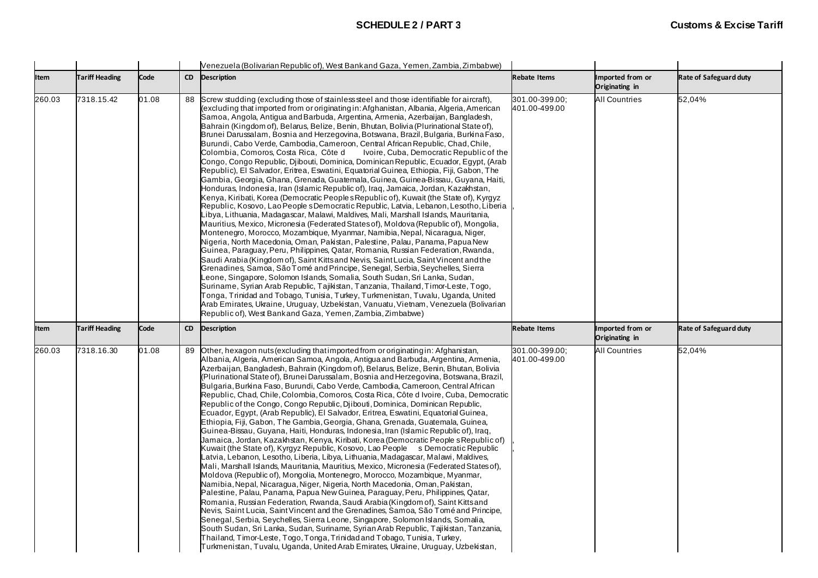|        |                       |       |           | Venezuela (Bolivarian Republic of), West Bankand Gaza, Yemen, Zambia, Zimbabwe)                                                                                                                                                                                                                                                                                                                                                                                                                                                                                                                                                                                                                                                                                                                                                                                                                                                                                                                                                                                                                                                                                                                                                                                                                                                                                                                                                                                                                                                                                                                                                                                                                                                                                                                                                                                                                                                                                                                                                                                                                                                                                                                                    |                                 |                                    |                               |
|--------|-----------------------|-------|-----------|--------------------------------------------------------------------------------------------------------------------------------------------------------------------------------------------------------------------------------------------------------------------------------------------------------------------------------------------------------------------------------------------------------------------------------------------------------------------------------------------------------------------------------------------------------------------------------------------------------------------------------------------------------------------------------------------------------------------------------------------------------------------------------------------------------------------------------------------------------------------------------------------------------------------------------------------------------------------------------------------------------------------------------------------------------------------------------------------------------------------------------------------------------------------------------------------------------------------------------------------------------------------------------------------------------------------------------------------------------------------------------------------------------------------------------------------------------------------------------------------------------------------------------------------------------------------------------------------------------------------------------------------------------------------------------------------------------------------------------------------------------------------------------------------------------------------------------------------------------------------------------------------------------------------------------------------------------------------------------------------------------------------------------------------------------------------------------------------------------------------------------------------------------------------------------------------------------------------|---------------------------------|------------------------------------|-------------------------------|
| Item   | <b>Tariff Heading</b> | Code  | <b>CD</b> | <b>Description</b>                                                                                                                                                                                                                                                                                                                                                                                                                                                                                                                                                                                                                                                                                                                                                                                                                                                                                                                                                                                                                                                                                                                                                                                                                                                                                                                                                                                                                                                                                                                                                                                                                                                                                                                                                                                                                                                                                                                                                                                                                                                                                                                                                                                                 | <b>Rebate Items</b>             | Imported from or<br>Originating in | Rate of Safeguard duty        |
| 260.03 | 7318.15.42            | 01.08 |           | 88 Screw studding (excluding those of stainless steel and those identifiable for aircraft),<br>(excluding that imported from or originating in: Afghanistan, Albania, Algeria, American<br>Samoa, Angola, Antigua and Barbuda, Argentina, Armenia, Azerbaijan, Bangladesh,<br>Bahrain (Kingdom of), Belarus, Belize, Benin, Bhutan, Bolivia (Plurinational State of),<br>Brunei Darussalam, Bosnia and Herzegovina, Botswana, Brazil, Bulgaria, Burkina Faso,<br>Burundi, Cabo Verde, Cambodia, Cameroon, Central African Republic, Chad, Chile,<br>Colombia, Comoros, Costa Rica, Côte d<br>Ivoire, Cuba, Democratic Republic of the<br>Congo, Congo Republic, Djibouti, Dominica, Dominican Republic, Ecuador, Egypt, (Arab<br>Republic), El Salvador, Eritrea, Eswatini, Equatorial Guinea, Ethiopia, Fiji, Gabon, The<br>Gambia, Georgia, Ghana, Grenada, Guatemala, Guinea, Guinea-Bissau, Guyana, Haiti,<br>Honduras, Indonesia, Iran (Islamic Republic of), Iraq, Jamaica, Jordan, Kazakhstan,<br>Kenya, Kiribati, Korea (Democratic Peoples Republic of), Kuwait (the State of), Kyrgyz<br>Republic, Kosovo, Lao People s Democratic Republic, Latvia, Lebanon, Lesotho, Liberia<br>Libya, Lithuania, Madagascar, Malawi, Maldives, Mali, Marshall Islands, Mauritania,<br>Mauritius, Mexico, Micronesia (Federated States of), Moldova (Republic of), Mongolia,<br>Montenegro, Morocco, Mozambique, Myanmar, Namibia, Nepal, Nicaragua, Niger,<br>Nigeria, North Macedonia, Oman, Pakistan, Palestine, Palau, Panama, Papua New<br>Guinea, Paraguay, Peru, Philippines, Qatar, Romania, Russian Federation, Rwanda,<br>Saudi Arabia (Kingdom of), Saint Kittsand Nevis, Saint Lucia, Saint Vincent and the<br>Grenadines, Samoa, São Tomé and Principe, Senegal, Serbia, Seychelles, Sierra<br>Leone, Singapore, Solomon Islands, Somalia, South Sudan, Sri Lanka, Sudan,<br>Suriname, Syrian Arab Republic, Tajikistan, Tanzania, Thailand, Timor-Leste, Togo,<br>Tonga, Trinidad and Tobago, Tunisia, Turkey, Turkmenistan, Tuvalu, Uganda, United<br>Arab Emirates, Ukraine, Uruguay, Uzbekistan, Vanuatu, Vietnam, Venezuela (Bolivarian<br>Republic of), West Bankand Gaza, Yemen, Zambia, Zimbabwe) | 301.00-399.00;<br>401.00-499.00 | <b>All Countries</b>               | 52,04%                        |
| Item   | <b>Tariff Heading</b> | Code  | <b>CD</b> | <b>Description</b>                                                                                                                                                                                                                                                                                                                                                                                                                                                                                                                                                                                                                                                                                                                                                                                                                                                                                                                                                                                                                                                                                                                                                                                                                                                                                                                                                                                                                                                                                                                                                                                                                                                                                                                                                                                                                                                                                                                                                                                                                                                                                                                                                                                                 | <b>Rebate Items</b>             | Imported from or<br>Originating in | <b>Rate of Safeguard duty</b> |
| 260.03 | 7318.16.30            | 01.08 | 89        | Other, hexagon nuts (excluding that imported from or originating in: Afghanistan,<br>Albania, Algeria, American Samoa, Angola, Antigua and Barbuda, Argentina, Armenia,<br>Azerbaijan, Bangladesh, Bahrain (Kingdom of), Belarus, Belize, Benin, Bhutan, Bolivia<br>(Plurinational State of), Brunei Darussalam, Bosnia and Herzegovina, Botswana, Brazil,<br>Bulgaria, Burkina Faso, Burundi, Cabo Verde, Cambodia, Cameroon, Central African<br>Republic, Chad, Chile, Colombia, Comoros, Costa Rica, Côte d Ivoire, Cuba, Democratic<br>Republic of the Congo, Congo Republic, Djibouti, Dominica, Dominican Republic,<br>Ecuador, Egypt, (Arab Republic), El Salvador, Eritrea, Eswatini, Equatorial Guinea,<br>Ethiopia, Fiji, Gabon, The Gambia, Georgia, Ghana, Grenada, Guatemala, Guinea,<br>Guinea-Bissau, Guyana, Haiti, Honduras, Indonesia, Iran (Islamic Republic of), Iraq,<br>Jamaica, Jordan, Kazakhstan, Kenya, Kiribati, Korea (Democratic People s Republic of)<br>Kuwait (the State of), Kyrgyz Republic, Kosovo, Lao People s Democratic Republic<br>Latvia, Lebanon, Lesotho, Liberia, Libya, Lithuania, Madagascar, Malawi, Maldives,<br>Mali, Marshall Islands, Mauritania, Mauritius, Mexico, Micronesia (Federated States of),<br>Moldova (Republic of), Mongolia, Montenegro, Morocco, Mozambique, Myanmar,<br>Namibia, Nepal, Nicaragua, Niger, Nigeria, North Macedonia, Oman, Pakistan,<br>Palestine, Palau, Panama, Papua New Guinea, Paraguay, Peru, Philippines, Qatar,<br>Romania, Russian Federation, Rwanda, Saudi Arabia (Kingdom of), Saint Kitts and<br>Nevis, Saint Lucia, Saint Vincent and the Grenadines, Samoa, São Tomé and Principe,<br>Senegal, Serbia, Seychelles, Sierra Leone, Singapore, Solomon Islands, Somalia,<br>South Sudan, Sri Lanka, Sudan, Suriname, Syrian Arab Republic, Tajikistan, Tanzania,<br>Thailand, Timor-Leste, Togo, Tonga, Trinidad and Tobago, Tunisia, Turkey,<br>Turkmenistan, Tuvalu, Uganda, United Arab Emirates, Ukraine, Uruguay, Uzbekistan,                                                                                                                                                                                   | 301.00-399.00;<br>401.00-499.00 | <b>All Countries</b>               | 52,04%                        |